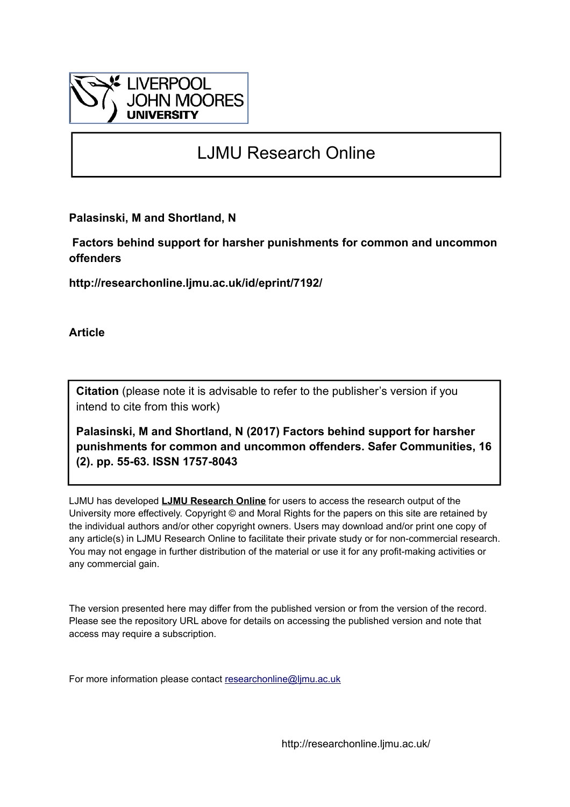

# LJMU Research Online

**Palasinski, M and Shortland, N**

 **Factors behind support for harsher punishments for common and uncommon offenders**

**http://researchonline.ljmu.ac.uk/id/eprint/7192/**

**Article**

**Citation** (please note it is advisable to refer to the publisher's version if you intend to cite from this work)

**Palasinski, M and Shortland, N (2017) Factors behind support for harsher punishments for common and uncommon offenders. Safer Communities, 16 (2). pp. 55-63. ISSN 1757-8043** 

LJMU has developed **[LJMU Research Online](http://researchonline.ljmu.ac.uk/)** for users to access the research output of the University more effectively. Copyright © and Moral Rights for the papers on this site are retained by the individual authors and/or other copyright owners. Users may download and/or print one copy of any article(s) in LJMU Research Online to facilitate their private study or for non-commercial research. You may not engage in further distribution of the material or use it for any profit-making activities or any commercial gain.

The version presented here may differ from the published version or from the version of the record. Please see the repository URL above for details on accessing the published version and note that access may require a subscription.

For more information please contact [researchonline@ljmu.ac.uk](mailto:researchonline@ljmu.ac.uk)

http://researchonline.ljmu.ac.uk/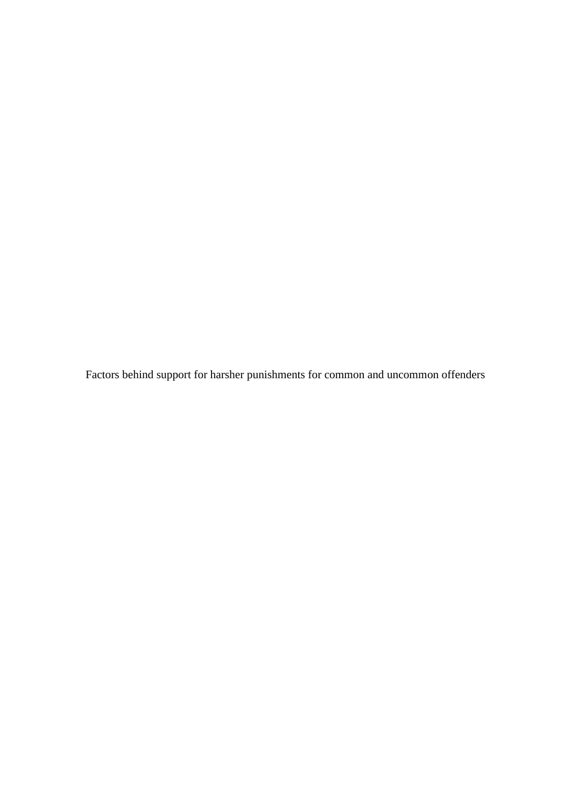Factors behind support for harsher punishments for common and uncommon offenders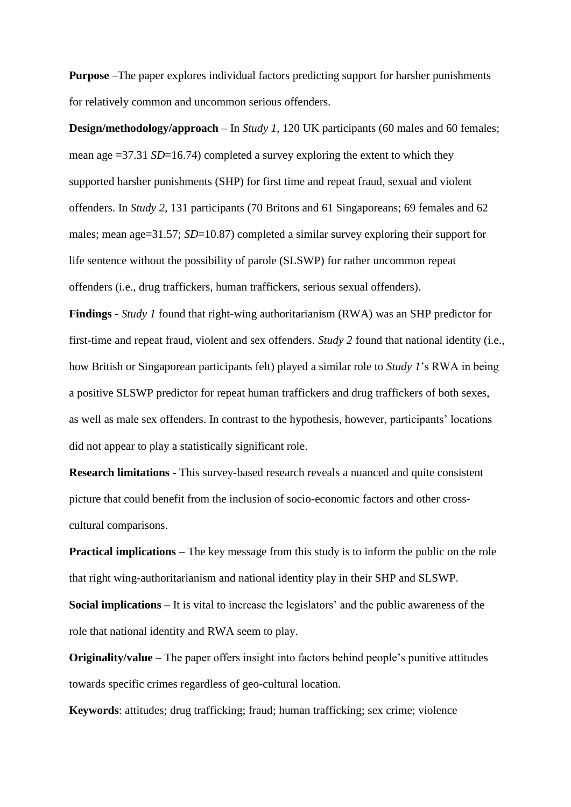**Purpose** –The paper explores individual factors predicting support for harsher punishments for relatively common and uncommon serious offenders.

**Design/methodology/approach** – In *Study 1*, 120 UK participants (60 males and 60 females; mean age =37.31 *SD*=16.74) completed a survey exploring the extent to which they supported harsher punishments (SHP) for first time and repeat fraud, sexual and violent offenders. In *Study 2*, 131 participants (70 Britons and 61 Singaporeans; 69 females and 62 males; mean age=31.57; *SD*=10.87) completed a similar survey exploring their support for life sentence without the possibility of parole (SLSWP) for rather uncommon repeat offenders (i.e., drug traffickers, human traffickers, serious sexual offenders).

**Findings -** *Study 1* found that right-wing authoritarianism (RWA) was an SHP predictor for first-time and repeat fraud, violent and sex offenders. *Study 2* found that national identity (i.e., how British or Singaporean participants felt) played a similar role to *Study 1*'s RWA in being a positive SLSWP predictor for repeat human traffickers and drug traffickers of both sexes, as well as male sex offenders. In contrast to the hypothesis, however, participants' locations did not appear to play a statistically significant role.

**Research limitations -** This survey-based research reveals a nuanced and quite consistent picture that could benefit from the inclusion of socio-economic factors and other crosscultural comparisons.

**Practical implications –** The key message from this study is to inform the public on the role that right wing-authoritarianism and national identity play in their SHP and SLSWP. **Social implications –** It is vital to increase the legislators' and the public awareness of the role that national identity and RWA seem to play.

**Originality/value –** The paper offers insight into factors behind people's punitive attitudes towards specific crimes regardless of geo-cultural location.

**Keywords**: attitudes; drug trafficking; fraud; human trafficking; sex crime; violence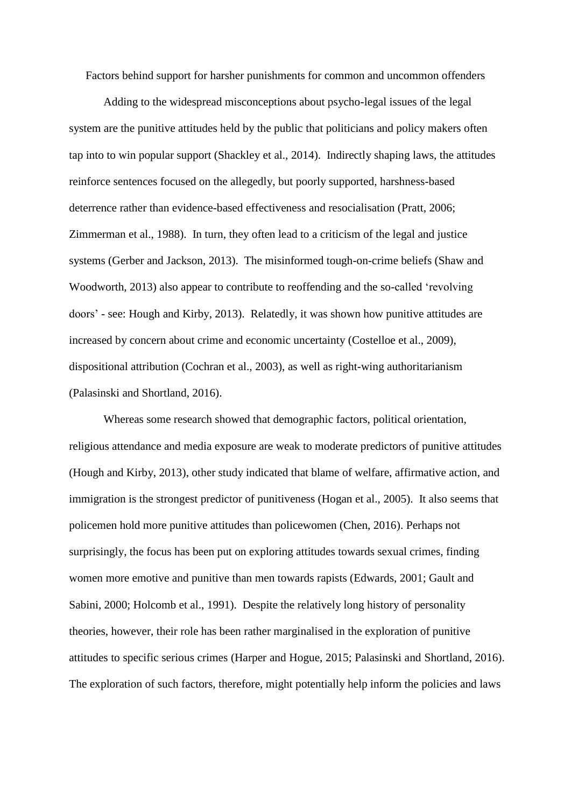Factors behind support for harsher punishments for common and uncommon offenders

Adding to the widespread misconceptions about psycho-legal issues of the legal system are the punitive attitudes held by the public that politicians and policy makers often tap into to win popular support (Shackley et al., 2014). Indirectly shaping laws, the attitudes reinforce sentences focused on the allegedly, but poorly supported, harshness-based deterrence rather than evidence-based effectiveness and resocialisation (Pratt, 2006; Zimmerman et al., 1988). In turn, they often lead to a criticism of the legal and justice systems (Gerber and Jackson, 2013). The misinformed tough-on-crime beliefs (Shaw and Woodworth, 2013) also appear to contribute to reoffending and the so-called 'revolving doors' - see: Hough and Kirby, 2013). Relatedly, it was shown how punitive attitudes are increased by concern about crime and economic uncertainty [\(Costelloe](http://pun.sagepub.com/search?author1=Michael+T.+Costelloe&sortspec=date&submit=Submit) et al., 2009), dispositional attribution (Cochran et al., 2003), as well as right-wing authoritarianism (Palasinski and Shortland, 2016).

Whereas some research showed that demographic factors, political orientation, religious attendance and media exposure are weak to moderate predictors of punitive attitudes (Hough and Kirby, 2013), other study indicated that blame of welfare, affirmative action, and immigration is the strongest predictor of punitiveness (Hogan et al., 2005). It also seems that policemen hold more punitive attitudes than policewomen (Chen, 2016). Perhaps not surprisingly, the focus has been put on exploring attitudes towards sexual crimes, finding women more emotive and punitive than men towards rapists (Edwards, 2001; Gault and Sabini, 2000; Holcomb et al., 1991). Despite the relatively long history of personality theories, however, their role has been rather marginalised in the exploration of punitive attitudes to specific serious crimes (Harper and Hogue, 2015; Palasinski and Shortland, 2016). The exploration of such factors, therefore, might potentially help inform the policies and laws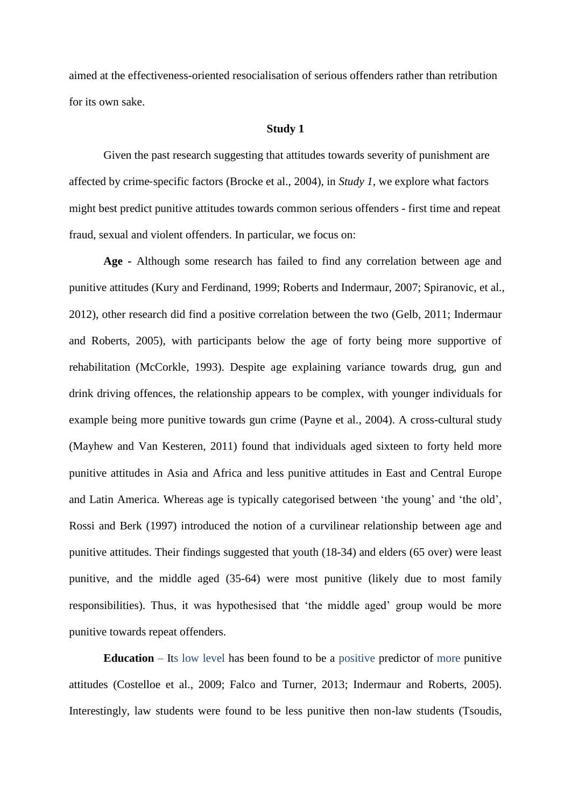aimed at the effectiveness-oriented resocialisation of serious offenders rather than retribution for its own sake.

#### **Study 1**

Given the past research suggesting that attitudes towards severity of punishment are affected by crime‐specific factors (Brocke et al., 2004), in *Study 1*, we explore what factors might best predict punitive attitudes towards common serious offenders - first time and repeat fraud, sexual and violent offenders. In particular, we focus on:

**Age -** Although some research has failed to find any correlation between age and punitive attitudes (Kury and Ferdinand, 1999; Roberts and Indermaur, 2007; Spiranovic*,* et al., 2012), other research did find a positive correlation between the two (Gelb, 2011; Indermaur and Roberts, 2005), with participants below the age of forty being more supportive of rehabilitation (McCorkle, 1993). Despite age explaining variance towards drug, gun and drink driving offences, the relationship appears to be complex, with younger individuals for example being more punitive towards gun crime (Payne et al*.*, 2004). A cross-cultural study (Mayhew and Van Kesteren, 2011) found that individuals aged sixteen to forty held more punitive attitudes in Asia and Africa and less punitive attitudes in East and Central Europe and Latin America. Whereas age is typically categorised between 'the young' and 'the old', Rossi and Berk (1997) introduced the notion of a curvilinear relationship between age and punitive attitudes. Their findings suggested that youth (18-34) and elders (65 over) were least punitive, and the middle aged (35-64) were most punitive (likely due to most family responsibilities). Thus, it was hypothesised that 'the middle aged' group would be more punitive towards repeat offenders.

**Education** – Its low level has been found to be a positive predictor of more punitive attitudes (Costelloe et al., 2009; Falco and Turner, 2013; Indermaur and Roberts, 2005). Interestingly, law students were found to be less punitive then non-law students (Tsoudis,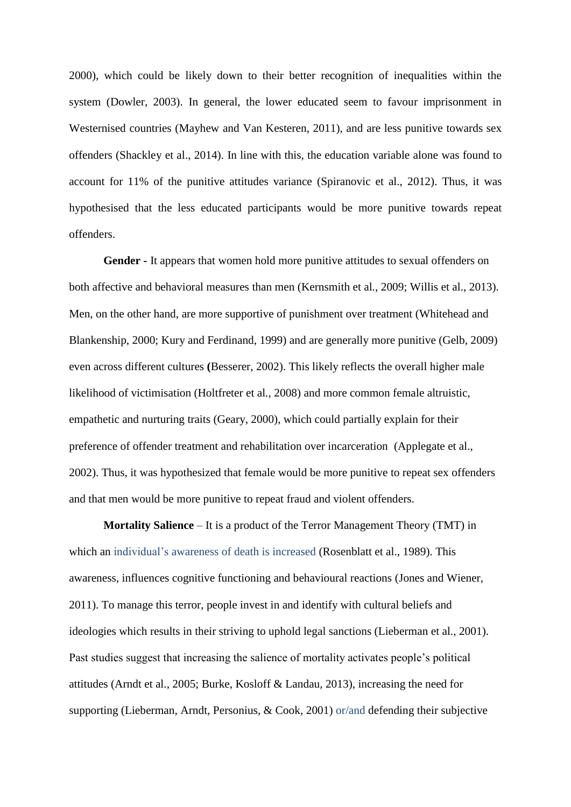2000), which could be likely down to their better recognition of inequalities within the system (Dowler, 2003). In general, the lower educated seem to favour imprisonment in Westernised countries (Mayhew and Van Kesteren, 2011), and are less punitive towards sex offenders (Shackley et al., 2014). In line with this, the education variable alone was found to account for 11% of the punitive attitudes variance (Spiranovic et al., 2012). Thus, it was hypothesised that the less educated participants would be more punitive towards repeat offenders.

**Gender -** It appears that women hold more punitive attitudes to sexual offenders on both affective and behavioral measures than men (Kernsmith et al*.*, 2009; Willis et al., 2013). Men, on the other hand, are more supportive of punishment over treatment (Whitehead and Blankenship, 2000; Kury and Ferdinand, 1999) and are generally more punitive (Gelb, 2009) even across different cultures **(**Besserer, 2002). This likely reflects the overall higher male likelihood of victimisation (Holtfreter et al*.,* 2008) and more common female altruistic, empathetic and nurturing traits (Geary, 2000), which could partially explain for their preference of offender treatment and rehabilitation over incarceration (Applegate et al., 2002). Thus, it was hypothesized that female would be more punitive to repeat sex offenders and that men would be more punitive to repeat fraud and violent offenders.

**Mortality Salience** – It is a product of the Terror Management Theory (TMT) in which an individual's awareness of death is increased (Rosenblatt et al., 1989). This awareness, influences cognitive functioning and behavioural reactions (Jones and Wiener, 2011). To manage this terror, people invest in and identify with cultural beliefs and ideologies which results in their striving to uphold legal sanctions (Lieberman et al., 2001). Past studies suggest that increasing the salience of mortality activates people's political attitudes (Arndt et al., 2005; Burke, Kosloff & Landau, 2013), increasing the need for supporting (Lieberman, Arndt, Personius, & Cook, 2001) or/and defending their subjective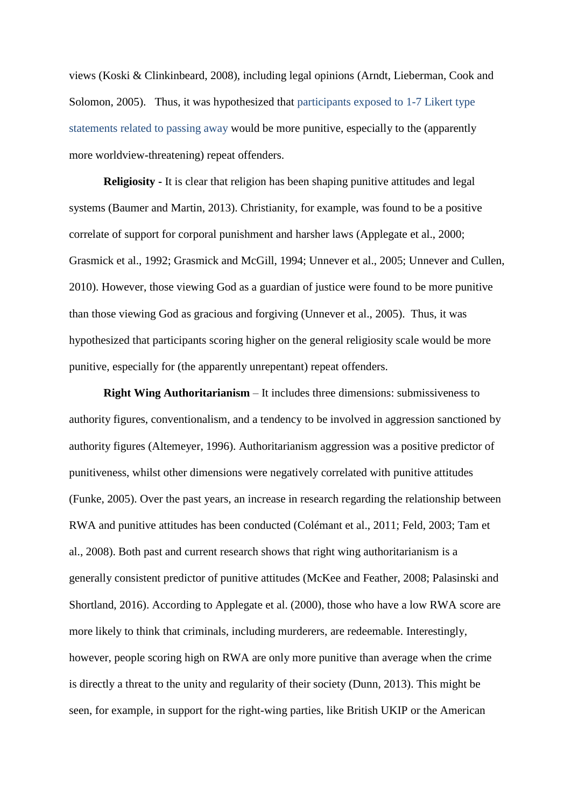views (Koski & Clinkinbeard, 2008), including legal opinions (Arndt, Lieberman, Cook and Solomon, 2005). Thus, it was hypothesized that participants exposed to 1-7 Likert type statements related to passing away would be more punitive, especially to the (apparently more worldview-threatening) repeat offenders.

**Religiosity -** It is clear that religion has been shaping punitive attitudes and legal systems (Baumer and Martin, 2013). Christianity, for example, was found to be a positive correlate of support for corporal punishment and harsher laws (Applegate et al., 2000; Grasmick et al., 1992; Grasmick and McGill, 1994; Unnever et al., 2005; Unnever and Cullen, 2010). However, those viewing God as a guardian of justice were found to be more punitive than those viewing God as gracious and forgiving (Unnever et al., 2005). Thus, it was hypothesized that participants scoring higher on the general religiosity scale would be more punitive, especially for (the apparently unrepentant) repeat offenders.

**Right Wing Authoritarianism** – It includes three dimensions: submissiveness to authority figures, conventionalism, and a tendency to be involved in aggression sanctioned by authority figures (Altemeyer, 1996). Authoritarianism aggression was a positive predictor of punitiveness, whilst other dimensions were negatively correlated with punitive attitudes (Funke, 2005). Over the past years, an increase in research regarding the relationship between RWA and punitive attitudes has been conducted (Colémant et al., 2011; Feld, 2003; Tam et al., 2008). Both past and current research shows that right wing authoritarianism is a generally consistent predictor of punitive attitudes (McKee and Feather, 2008; Palasinski and Shortland, 2016). According to Applegate et al. (2000), those who have a low RWA score are more likely to think that criminals, including murderers, are redeemable. Interestingly, however, people scoring high on RWA are only more punitive than average when the crime is directly a threat to the unity and regularity of their society (Dunn, 2013). This might be seen, for example, in support for the right-wing parties, like British UKIP or the American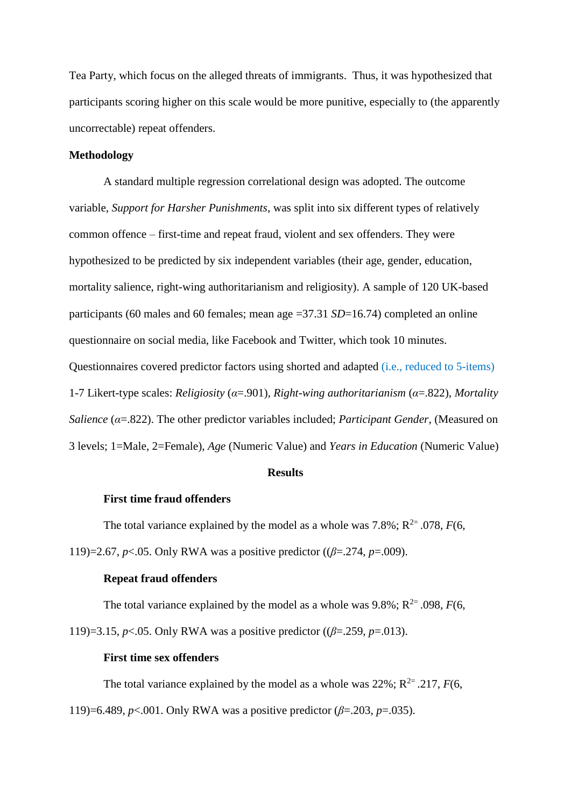Tea Party, which focus on the alleged threats of immigrants. Thus, it was hypothesized that participants scoring higher on this scale would be more punitive, especially to (the apparently uncorrectable) repeat offenders.

## **Methodology**

A standard multiple regression correlational design was adopted. The outcome variable, *Support for Harsher Punishments*, was split into six different types of relatively common offence – first-time and repeat fraud, violent and sex offenders. They were hypothesized to be predicted by six independent variables (their age, gender, education, mortality salience, right-wing authoritarianism and religiosity). A sample of 120 UK-based participants (60 males and 60 females; mean age =37.31 *SD*=16.74) completed an online questionnaire on social media, like Facebook and Twitter, which took 10 minutes. Questionnaires covered predictor factors using shorted and adapted (i.e., reduced to 5-items) 1-7 Likert-type scales: *Religiosity* (*α*=.901)*, Right-wing authoritarianism* (*α*=.822), *Mortality Salience* (*α*=.822). The other predictor variables included; *Participant Gender*, (Measured on 3 levels; 1=Male, 2=Female), *Age* (Numeric Value) and *Years in Education* (Numeric Value)

## **Results**

## **First time fraud offenders**

The total variance explained by the model as a whole was  $7.8\%$ ;  $R^{2} = .078$ ,  $F(6, \theta)$ 

119)=2.67, *p*<.05. Only RWA was a positive predictor ((*β*=.274, *p*=.009).

#### **Repeat fraud offenders**

The total variance explained by the model as a whole was  $9.8\%$ ;  $R^{2}$ = .098,  $F(6, \mathcal{I})$ 

119)=3.15, *p*<.05. Only RWA was a positive predictor ((*β*=.259, *p*=.013).

## **First time sex offenders**

The total variance explained by the model as a whole was  $22\%$ ;  $R^{2} = .217$ ,  $F(6, \theta)$ 

119)=6.489, *p*<.001. Only RWA was a positive predictor (*β*=.203, *p*=.035).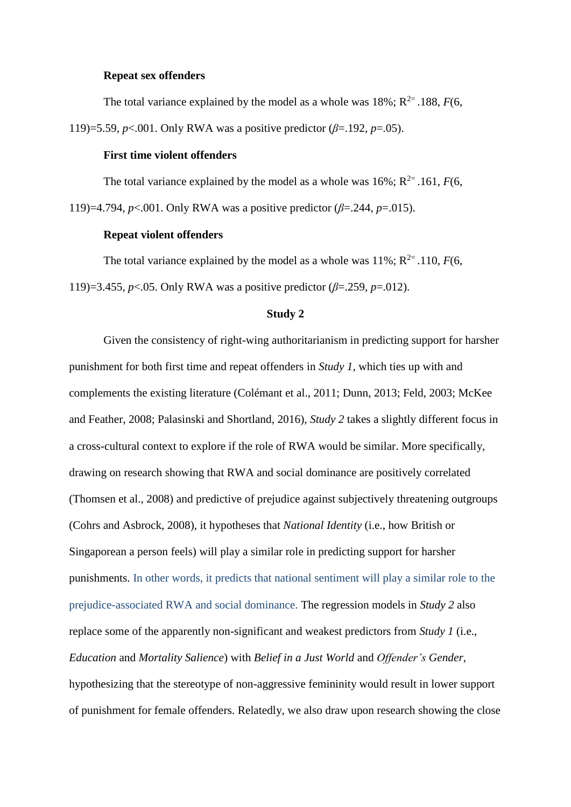#### **Repeat sex offenders**

The total variance explained by the model as a whole was  $18\%$ ;  $R^{2}$ = .188,  $F(6, 6)$ 

119)=5.59, *p*<.001. Only RWA was a positive predictor (*β*=.192, *p*=.05).

## **First time violent offenders**

The total variance explained by the model as a whole was  $16\%$ ;  $R^{2}$ = .161, *F*(6,

119)=4.794, *p*<.001. Only RWA was a positive predictor (*β*=.244, *p*=.015).

### **Repeat violent offenders**

The total variance explained by the model as a whole was  $11\%$ ;  $R^{2}$ = .110, *F*(6,

119)=3.455, *p*<.05. Only RWA was a positive predictor (*β*=.259, *p*=.012).

#### **Study 2**

Given the consistency of right-wing authoritarianism in predicting support for harsher punishment for both first time and repeat offenders in *Study 1*, which ties up with and complements the existing literature (Colémant et al., 2011; Dunn, 2013; Feld, 2003; McKee and Feather, 2008; Palasinski and Shortland, 2016), *Study 2* takes a slightly different focus in a cross-cultural context to explore if the role of RWA would be similar. More specifically, drawing on research showing that RWA and social dominance are positively correlated (Thomsen et al., 2008) and predictive of prejudice against subjectively threatening outgroups (Cohrs and Asbrock, 2008), it hypotheses that *National Identity* (i.e., how British or Singaporean a person feels) will play a similar role in predicting support for harsher punishments. In other words, it predicts that national sentiment will play a similar role to the prejudice-associated RWA and social dominance. The regression models in *Study 2* also replace some of the apparently non-significant and weakest predictors from *Study 1* (i.e., *Education* and *Mortality Salience*) with *Belief in a Just World* and *Offender's Gender,*  hypothesizing that the stereotype of non-aggressive femininity would result in lower support of punishment for female offenders. Relatedly, we also draw upon research showing the close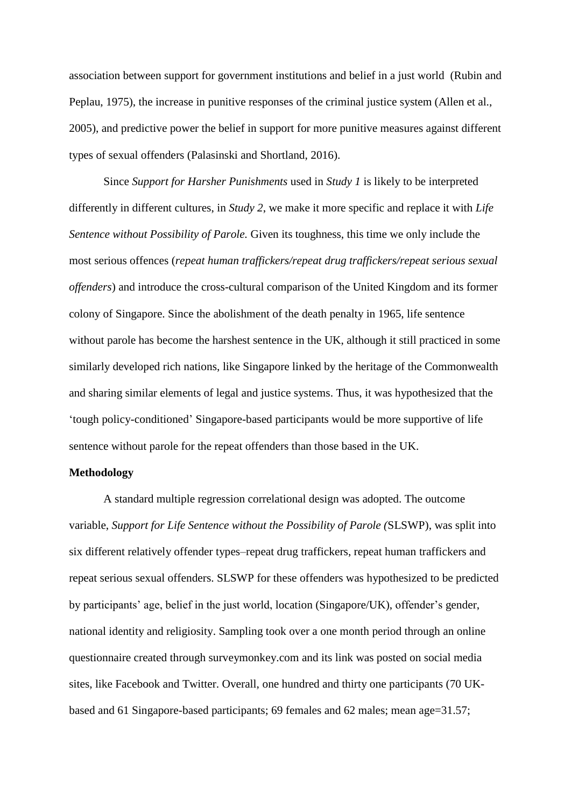association between support for government institutions and belief in a just world (Rubin and Peplau, 1975), the increase in punitive responses of the criminal justice system (Allen et al., 2005), and predictive power the belief in support for more punitive measures against different types of sexual offenders (Palasinski and Shortland, 2016).

Since *Support for Harsher Punishments* used in *Study 1* is likely to be interpreted differently in different cultures, in *Study 2*, we make it more specific and replace it with *Life Sentence without Possibility of Parole.* Given its toughness, this time we only include the most serious offences (*repeat human traffickers/repeat drug traffickers/repeat serious sexual offenders*) and introduce the cross-cultural comparison of the United Kingdom and its former colony of Singapore. Since the abolishment of the death penalty in 1965, life sentence without parole has become the harshest sentence in the UK, although it still practiced in some similarly developed rich nations, like Singapore linked by the heritage of the Commonwealth and sharing similar elements of legal and justice systems. Thus, it was hypothesized that the 'tough policy-conditioned' Singapore-based participants would be more supportive of life sentence without parole for the repeat offenders than those based in the UK.

## **Methodology**

A standard multiple regression correlational design was adopted. The outcome variable, *Support for Life Sentence without the Possibility of Parole (*SLSWP), was split into six different relatively offender types–repeat drug traffickers, repeat human traffickers and repeat serious sexual offenders. SLSWP for these offenders was hypothesized to be predicted by participants' age, belief in the just world, location (Singapore/UK), offender's gender, national identity and religiosity. Sampling took over a one month period through an online questionnaire created through surveymonkey.com and its link was posted on social media sites, like Facebook and Twitter. Overall, one hundred and thirty one participants (70 UKbased and 61 Singapore-based participants; 69 females and 62 males; mean age=31.57;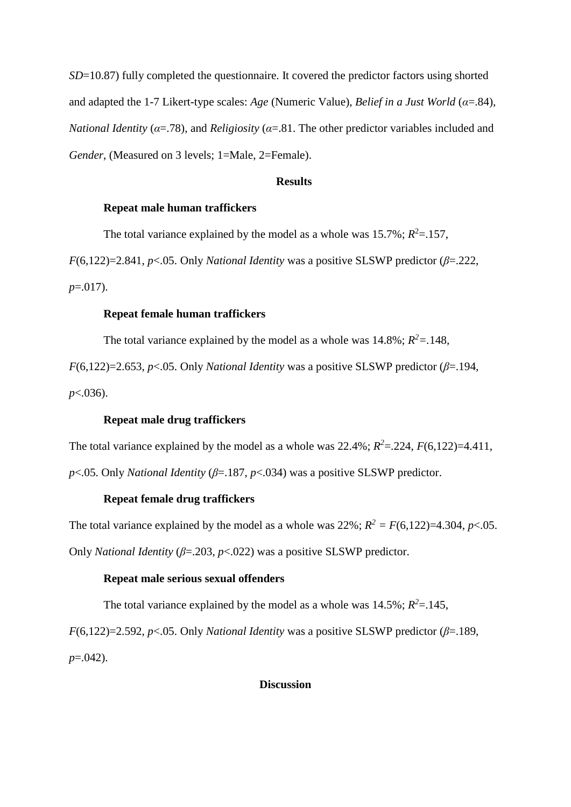*SD*=10.87) fully completed the questionnaire. It covered the predictor factors using shorted and adapted the 1-7 Likert-type scales: *Age* (Numeric Value), *Belief in a Just World* (*α*=.84)*, National Identity* ( $\alpha$ =.78), and *Religiosity* ( $\alpha$ =.81. The other predictor variables included and *Gender*, (Measured on 3 levels; 1=Male, 2=Female).

#### **Results**

## **Repeat male human traffickers**

The total variance explained by the model as a whole was  $15.7\%$ ;  $R^2 = .157$ ,

*F*(6,122)=2.841, *p*<.05. Only *National Identity* was a positive SLSWP predictor ( $\beta$ =.222,

*p*=.017).

## **Repeat female human traffickers**

The total variance explained by the model as a whole was  $14.8\%$ ;  $R^2 = .148$ ,

*F*(6,122)=2.653, *p*<.05. Only *National Identity* was a positive SLSWP predictor ( $\beta$ =.194, *p*<.036).

### **Repeat male drug traffickers**

The total variance explained by the model as a whole was  $22.4\%$ ;  $R^2 = .224$ ,  $F(6,122) = 4.411$ ,

*p*<.05. Only *National Identity* (*β*=.187, *p*<.034) was a positive SLSWP predictor.

## **Repeat female drug traffickers**

The total variance explained by the model as a whole was  $22\%$ ;  $R^2 = F(6,122)=4.304$ ,  $p<.05$ .

Only *National Identity* (*β*=.203, *p*<.022) was a positive SLSWP predictor.

## **Repeat male serious sexual offenders**

The total variance explained by the model as a whole was  $14.5\%$ ;  $R^2 = .145$ ,

*F*(6,122)=2.592, *p*<.05. Only *National Identity* was a positive SLSWP predictor ( $\beta$ =.189, *p*=.042).

### **Discussion**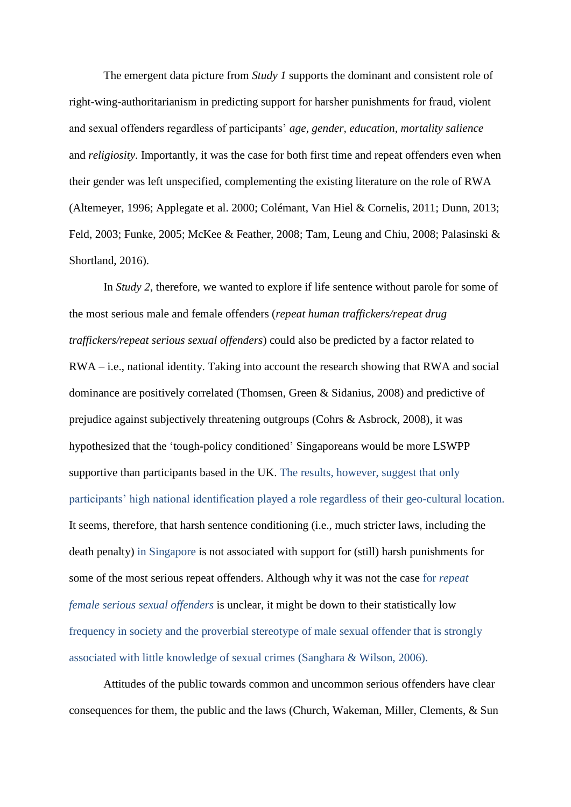The emergent data picture from *Study 1* supports the dominant and consistent role of right-wing-authoritarianism in predicting support for harsher punishments for fraud, violent and sexual offenders regardless of participants' *age, gender, education, mortality salience* and *religiosity*. Importantly, it was the case for both first time and repeat offenders even when their gender was left unspecified, complementing the existing literature on the role of RWA (Altemeyer, 1996; Applegate et al. 2000; Colémant, Van Hiel & Cornelis, 2011; Dunn, 2013; Feld, 2003; Funke, 2005; McKee & Feather, 2008; Tam, Leung and Chiu*,* 2008; Palasinski & Shortland, 2016).

In *Study 2*, therefore, we wanted to explore if life sentence without parole for some of the most serious male and female offenders (*repeat human traffickers/repeat drug traffickers/repeat serious sexual offenders*) could also be predicted by a factor related to RWA – i.e., national identity. Taking into account the research showing that RWA and social dominance are positively correlated (Thomsen, Green & Sidanius, 2008) and predictive of prejudice against subjectively threatening outgroups (Cohrs & Asbrock, 2008), it was hypothesized that the 'tough-policy conditioned' Singaporeans would be more LSWPP supportive than participants based in the UK. The results, however, suggest that only participants' high national identification played a role regardless of their geo-cultural location. It seems, therefore, that harsh sentence conditioning (i.e., much stricter laws, including the death penalty) in Singapore is not associated with support for (still) harsh punishments for some of the most serious repeat offenders. Although why it was not the case for *repeat female serious sexual offenders* is unclear, it might be down to their statistically low frequency in society and the proverbial stereotype of male sexual offender that is strongly associated with little knowledge of sexual crimes (Sanghara & Wilson, 2006).

Attitudes of the public towards common and uncommon serious offenders have clear consequences for them, the public and the laws (Church, Wakeman, Miller, Clements, & Sun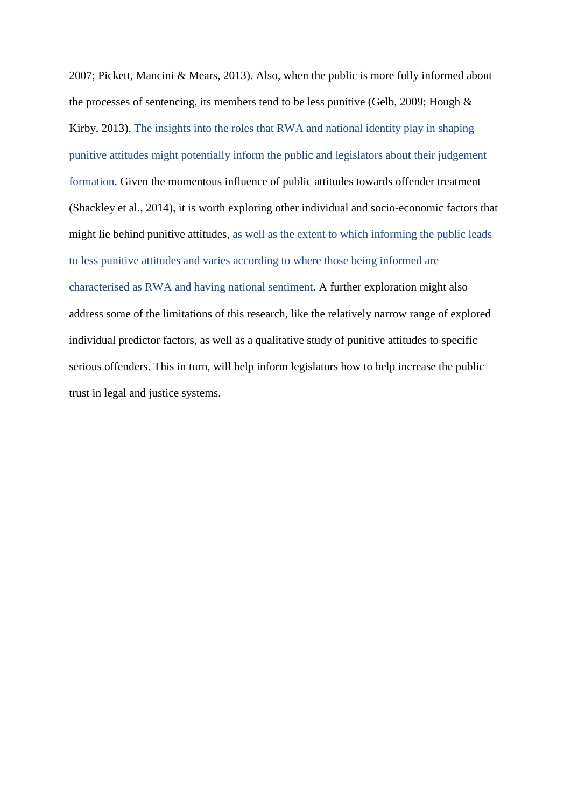2007; Pickett, Mancini & Mears, 2013). Also, when the public is more fully informed about the processes of sentencing, its members tend to be less punitive (Gelb, 2009; Hough & Kirby, 2013). The insights into the roles that RWA and national identity play in shaping punitive attitudes might potentially inform the public and legislators about their judgement formation. Given the momentous influence of public attitudes towards offender treatment (Shackley et al., 2014), it is worth exploring other individual and socio-economic factors that might lie behind punitive attitudes, as well as the extent to which informing the public leads to less punitive attitudes and varies according to where those being informed are characterised as RWA and having national sentiment. A further exploration might also address some of the limitations of this research, like the relatively narrow range of explored individual predictor factors, as well as a qualitative study of punitive attitudes to specific serious offenders. This in turn, will help inform legislators how to help increase the public trust in legal and justice systems.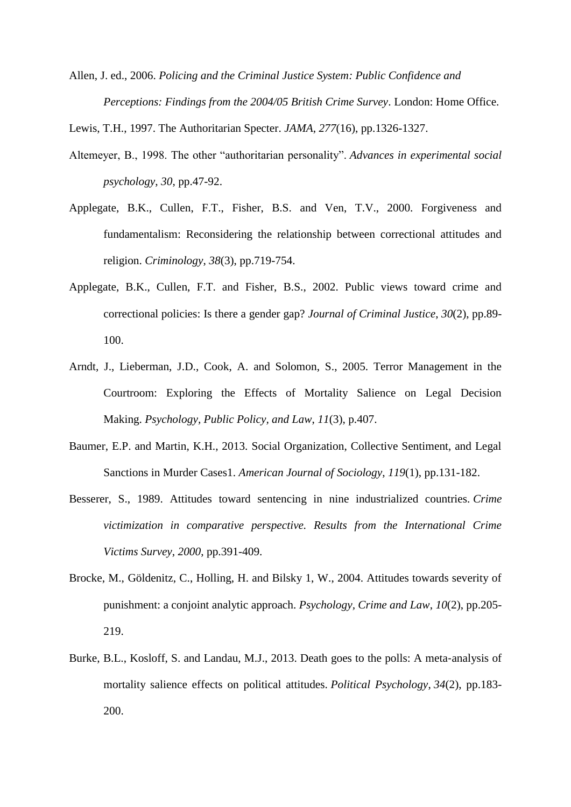Allen, J. ed., 2006. *Policing and the Criminal Justice System: Public Confidence and Perceptions: Findings from the 2004/05 British Crime Survey*. London: Home Office.

Lewis, T.H., 1997. The Authoritarian Specter. *JAMA*, *277*(16), pp.1326-1327.

- Altemeyer, B., 1998. The other "authoritarian personality". *Advances in experimental social psychology*, *30*, pp.47-92.
- Applegate, B.K., Cullen, F.T., Fisher, B.S. and Ven, T.V., 2000. Forgiveness and fundamentalism: Reconsidering the relationship between correctional attitudes and religion. *Criminology*, *38*(3), pp.719-754.
- Applegate, B.K., Cullen, F.T. and Fisher, B.S., 2002. Public views toward crime and correctional policies: Is there a gender gap? *Journal of Criminal Justice*, *30*(2), pp.89- 100.
- Arndt, J., Lieberman, J.D., Cook, A. and Solomon, S., 2005. Terror Management in the Courtroom: Exploring the Effects of Mortality Salience on Legal Decision Making. *Psychology, Public Policy, and Law*, *11*(3), p.407.
- Baumer, E.P. and Martin, K.H., 2013. Social Organization, Collective Sentiment, and Legal Sanctions in Murder Cases1. *American Journal of Sociology*, *119*(1), pp.131-182.
- Besserer, S., 1989. Attitudes toward sentencing in nine industrialized countries. *Crime victimization in comparative perspective. Results from the International Crime Victims Survey*, *2000*, pp.391-409.
- Brocke, M., Göldenitz, C., Holling, H. and Bilsky 1, W., 2004. Attitudes towards severity of punishment: a conjoint analytic approach. *Psychology, Crime and Law*, *10*(2), pp.205- 219.
- Burke, B.L., Kosloff, S. and Landau, M.J., 2013. Death goes to the polls: A meta‐analysis of mortality salience effects on political attitudes. *Political Psychology*, *34*(2), pp.183- 200.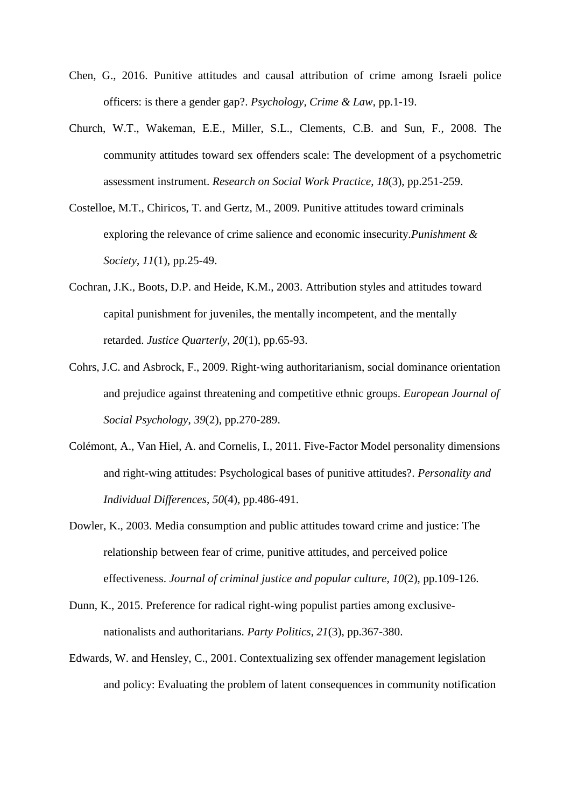- Chen, G., 2016. Punitive attitudes and causal attribution of crime among Israeli police officers: is there a gender gap?. *Psychology, Crime & Law*, pp.1-19.
- Church, W.T., Wakeman, E.E., Miller, S.L., Clements, C.B. and Sun, F., 2008. The community attitudes toward sex offenders scale: The development of a psychometric assessment instrument. *Research on Social Work Practice*, *18*(3), pp.251-259.
- Costelloe, M.T., Chiricos, T. and Gertz, M., 2009. Punitive attitudes toward criminals exploring the relevance of crime salience and economic insecurity.*Punishment & Society*, *11*(1), pp.25-49.
- Cochran, J.K., Boots, D.P. and Heide, K.M., 2003. Attribution styles and attitudes toward capital punishment for juveniles, the mentally incompetent, and the mentally retarded. *Justice Quarterly*, *20*(1), pp.65-93.
- Cohrs, J.C. and Asbrock, F., 2009. Right‐wing authoritarianism, social dominance orientation and prejudice against threatening and competitive ethnic groups. *European Journal of Social Psychology*, *39*(2), pp.270-289.
- Colémont, A., Van Hiel, A. and Cornelis, I., 2011. Five-Factor Model personality dimensions and right-wing attitudes: Psychological bases of punitive attitudes?. *Personality and Individual Differences*, *50*(4), pp.486-491.
- Dowler, K., 2003. Media consumption and public attitudes toward crime and justice: The relationship between fear of crime, punitive attitudes, and perceived police effectiveness. *Journal of criminal justice and popular culture*, *10*(2), pp.109-126.
- Dunn, K., 2015. Preference for radical right-wing populist parties among exclusivenationalists and authoritarians. *Party Politics*, *21*(3), pp.367-380.
- Edwards, W. and Hensley, C., 2001. Contextualizing sex offender management legislation and policy: Evaluating the problem of latent consequences in community notification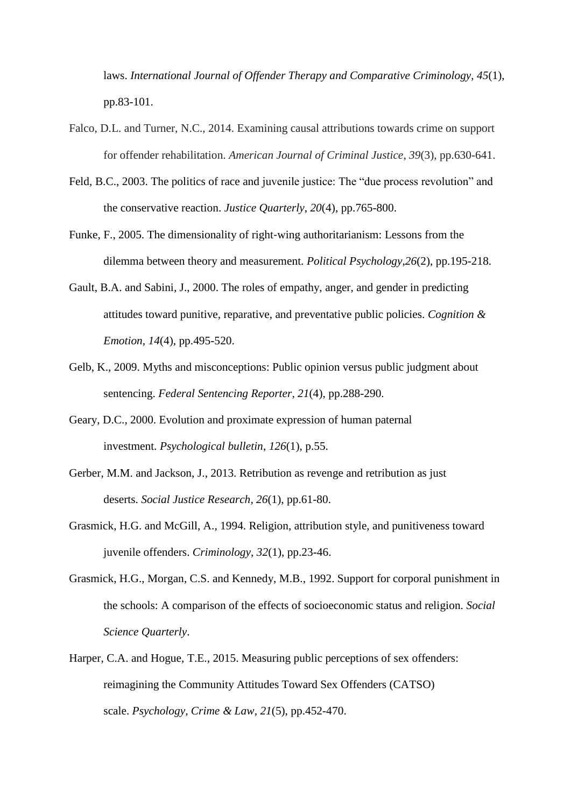laws. *International Journal of Offender Therapy and Comparative Criminology*, *45*(1), pp.83-101.

- Falco, D.L. and Turner, N.C., 2014. Examining causal attributions towards crime on support for offender rehabilitation. *American Journal of Criminal Justice*, *39*(3), pp.630-641.
- Feld, B.C., 2003. The politics of race and juvenile justice: The "due process revolution" and the conservative reaction. *Justice Quarterly*, *20*(4), pp.765-800.
- Funke, F., 2005. The dimensionality of right‐wing authoritarianism: Lessons from the dilemma between theory and measurement. *Political Psychology*,*26*(2), pp.195-218.
- Gault, B.A. and Sabini, J., 2000. The roles of empathy, anger, and gender in predicting attitudes toward punitive, reparative, and preventative public policies. *Cognition & Emotion*, *14*(4), pp.495-520.
- Gelb, K., 2009. Myths and misconceptions: Public opinion versus public judgment about sentencing. *Federal Sentencing Reporter*, *21*(4), pp.288-290.
- Geary, D.C., 2000. Evolution and proximate expression of human paternal investment. *Psychological bulletin*, *126*(1), p.55.
- Gerber, M.M. and Jackson, J., 2013. Retribution as revenge and retribution as just deserts. *Social Justice Research*, *26*(1), pp.61-80.
- Grasmick, H.G. and McGill, A., 1994. Religion, attribution style, and punitiveness toward juvenile offenders. *Criminology*, *32*(1), pp.23-46.
- Grasmick, H.G., Morgan, C.S. and Kennedy, M.B., 1992. Support for corporal punishment in the schools: A comparison of the effects of socioeconomic status and religion. *Social Science Quarterly*.
- Harper, C.A. and Hogue, T.E., 2015. Measuring public perceptions of sex offenders: reimagining the Community Attitudes Toward Sex Offenders (CATSO) scale. *Psychology, Crime & Law*, *21*(5), pp.452-470.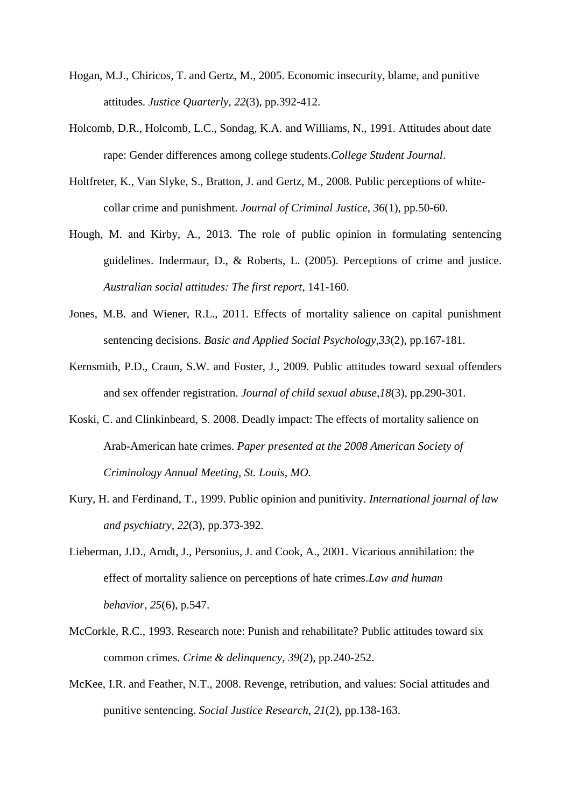- Hogan, M.J., Chiricos, T. and Gertz, M., 2005. Economic insecurity, blame, and punitive attitudes. *Justice Quarterly*, *22*(3), pp.392-412.
- Holcomb, D.R., Holcomb, L.C., Sondag, K.A. and Williams, N., 1991. Attitudes about date rape: Gender differences among college students.*College Student Journal*.
- Holtfreter, K., Van Slyke, S., Bratton, J. and Gertz, M., 2008. Public perceptions of whitecollar crime and punishment. *Journal of Criminal Justice*, *36*(1), pp.50-60.
- Hough, M. and Kirby, A., 2013. The role of public opinion in formulating sentencing guidelines. Indermaur, D., & Roberts, L. (2005). Perceptions of crime and justice. *Australian social attitudes: The first report*, 141-160.
- Jones, M.B. and Wiener, R.L., 2011. Effects of mortality salience on capital punishment sentencing decisions. *Basic and Applied Social Psychology*,*33*(2), pp.167-181.
- Kernsmith, P.D., Craun, S.W. and Foster, J., 2009. Public attitudes toward sexual offenders and sex offender registration. *Journal of child sexual abuse*,*18*(3), pp.290-301.
- Koski, C. and Clinkinbeard, S. 2008. Deadly impact: The effects of mortality salience on Arab-American hate crimes. *Paper presented at the 2008 American Society of Criminology Annual Meeting, St. Louis, MO.*
- Kury, H. and Ferdinand, T., 1999. Public opinion and punitivity. *International journal of law and psychiatry*, *22*(3), pp.373-392.
- Lieberman, J.D., Arndt, J., Personius, J. and Cook, A., 2001. Vicarious annihilation: the effect of mortality salience on perceptions of hate crimes.*Law and human behavior*, *25*(6), p.547.
- McCorkle, R.C., 1993. Research note: Punish and rehabilitate? Public attitudes toward six common crimes. *Crime & delinquency*, *39*(2), pp.240-252.
- McKee, I.R. and Feather, N.T., 2008. Revenge, retribution, and values: Social attitudes and punitive sentencing. *Social Justice Research*, *21*(2), pp.138-163.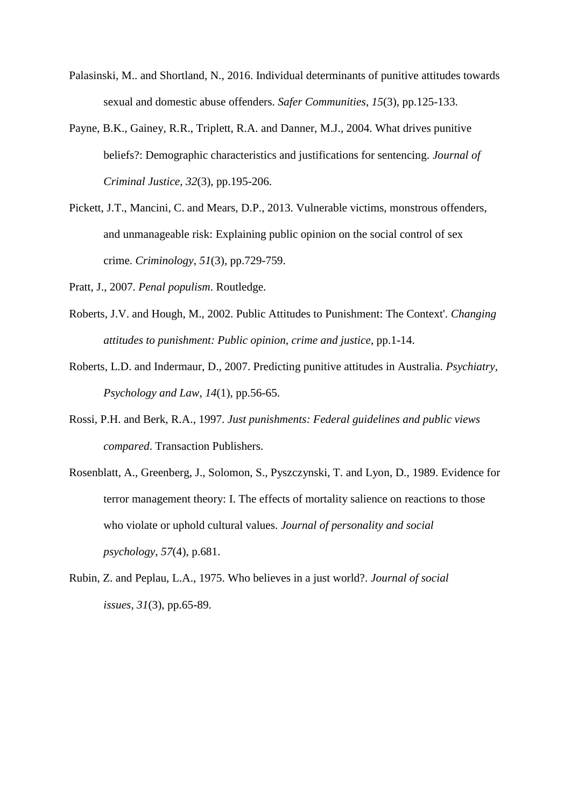- Palasinski, M.. and Shortland, N., 2016. Individual determinants of punitive attitudes towards sexual and domestic abuse offenders. *Safer Communities*, *15*(3), pp.125-133.
- Payne, B.K., Gainey, R.R., Triplett, R.A. and Danner, M.J., 2004. What drives punitive beliefs?: Demographic characteristics and justifications for sentencing. *Journal of Criminal Justice*, *32*(3), pp.195-206.
- Pickett, J.T., Mancini, C. and Mears, D.P., 2013. Vulnerable victims, monstrous offenders, and unmanageable risk: Explaining public opinion on the social control of sex crime. *Criminology*, *51*(3), pp.729-759.
- Pratt, J., 2007. *Penal populism*. Routledge.
- Roberts, J.V. and Hough, M., 2002. Public Attitudes to Punishment: The Context'. *Changing attitudes to punishment: Public opinion, crime and justice*, pp.1-14.
- Roberts, L.D. and Indermaur, D., 2007. Predicting punitive attitudes in Australia. *Psychiatry, Psychology and Law*, *14*(1), pp.56-65.
- Rossi, P.H. and Berk, R.A., 1997. *Just punishments: Federal guidelines and public views compared*. Transaction Publishers.
- Rosenblatt, A., Greenberg, J., Solomon, S., Pyszczynski, T. and Lyon, D., 1989. Evidence for terror management theory: I. The effects of mortality salience on reactions to those who violate or uphold cultural values. *Journal of personality and social psychology*, *57*(4), p.681.
- Rubin, Z. and Peplau, L.A., 1975. Who believes in a just world?. *Journal of social issues*, *31*(3), pp.65-89.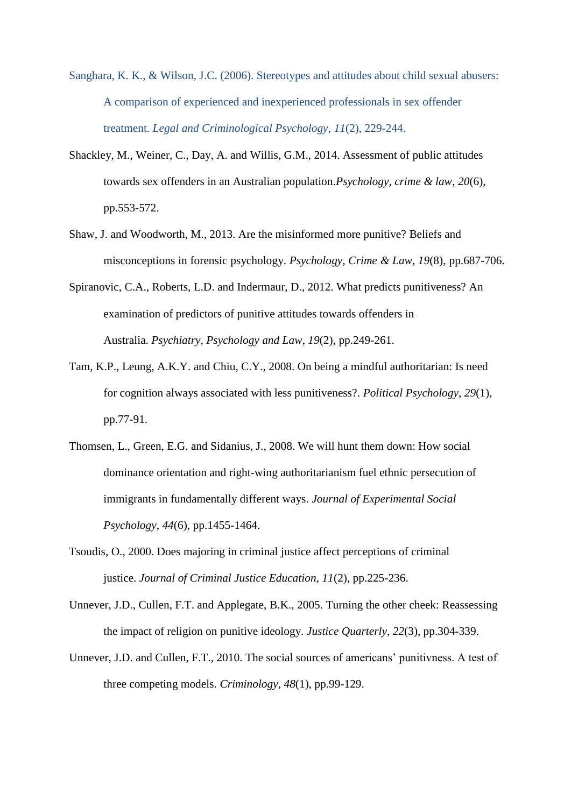- Sanghara, K. K., & Wilson, J.C. (2006). Stereotypes and attitudes about child sexual abusers: A comparison of experienced and inexperienced professionals in sex offender treatment. *Legal and Criminological Psychology, 11*(2), 229-244.
- Shackley, M., Weiner, C., Day, A. and Willis, G.M., 2014. Assessment of public attitudes towards sex offenders in an Australian population.*Psychology, crime & law*, *20*(6), pp.553-572.
- Shaw, J. and Woodworth, M., 2013. Are the misinformed more punitive? Beliefs and misconceptions in forensic psychology. *Psychology, Crime & Law*, *19*(8), pp.687-706.
- Spiranovic, C.A., Roberts, L.D. and Indermaur, D., 2012. What predicts punitiveness? An examination of predictors of punitive attitudes towards offenders in Australia. *Psychiatry, Psychology and Law*, *19*(2), pp.249-261.
- Tam, K.P., Leung, A.K.Y. and Chiu, C.Y., 2008. On being a mindful authoritarian: Is need for cognition always associated with less punitiveness?. *Political Psychology*, *29*(1), pp.77-91.
- Thomsen, L., Green, E.G. and Sidanius, J., 2008. We will hunt them down: How social dominance orientation and right-wing authoritarianism fuel ethnic persecution of immigrants in fundamentally different ways. *Journal of Experimental Social Psychology*, *44*(6), pp.1455-1464.
- Tsoudis, O., 2000. Does majoring in criminal justice affect perceptions of criminal justice. *Journal of Criminal Justice Education*, *11*(2), pp.225-236.
- Unnever, J.D., Cullen, F.T. and Applegate, B.K., 2005. Turning the other cheek: Reassessing the impact of religion on punitive ideology. *Justice Quarterly*, *22*(3), pp.304-339.
- Unnever, J.D. and Cullen, F.T., 2010. The social sources of americans' punitivness. A test of three competing models. *Criminology*, *48*(1), pp.99-129.